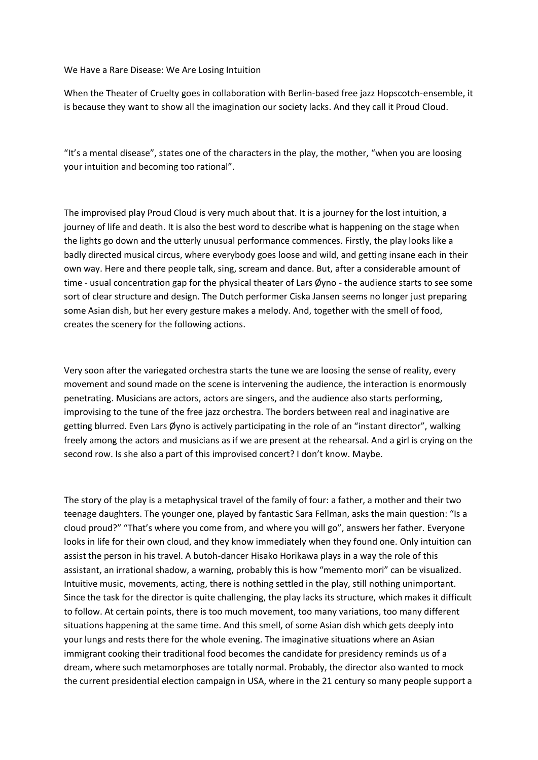We Have a Rare Disease: We Are Losing Intuition

When the Theater of Cruelty goes in collaboration with Berlin-based free jazz Hopscotch-ensemble, it is because they want to show all the imagination our society lacks. And they call it Proud Cloud.

"It's a mental disease", states one of the characters in the play, the mother, "when you are loosing your intuition and becoming too rational".

The improvised play Proud Cloud is very much about that. It is a journey for the lost intuition, a journey of life and death. It is also the best word to describe what is happening on the stage when the lights go down and the utterly unusual performance commences. Firstly, the play looks like a badly directed musical circus, where everybody goes loose and wild, and getting insane each in their own way. Here and there people talk, sing, scream and dance. But, after a considerable amount of time - usual concentration gap for the physical theater of Lars Øyno - the audience starts to see some sort of clear structure and design. The Dutch performer Ciska Jansen seems no longer just preparing some Asian dish, but her every gesture makes a melody. And, together with the smell of food, creates the scenery for the following actions.

Very soon after the variegated orchestra starts the tune we are loosing the sense of reality, every movement and sound made on the scene is intervening the audience, the interaction is enormously penetrating. Musicians are actors, actors are singers, and the audience also starts performing, improvising to the tune of the free jazz orchestra. The borders between real and inaginative are getting blurred. Even Lars Øyno is actively participating in the role of an "instant director", walking freely among the actors and musicians as if we are present at the rehearsal. And a girl is crying on the second row. Is she also a part of this improvised concert? I don't know. Maybe.

The story of the play is a metaphysical travel of the family of four: a father, a mother and their two teenage daughters. The younger one, played by fantastic Sara Fellman, asks the main question: "Is a cloud proud?" "That's where you come from, and where you will go", answers her father. Everyone looks in life for their own cloud, and they know immediately when they found one. Only intuition can assist the person in his travel. A butoh-dancer Hisako Horikawa plays in a way the role of this assistant, an irrational shadow, a warning, probably this is how "memento mori" can be visualized. Intuitive music, movements, acting, there is nothing settled in the play, still nothing unimportant. Since the task for the director is quite challenging, the play lacks its structure, which makes it difficult to follow. At certain points, there is too much movement, too many variations, too many different situations happening at the same time. And this smell, of some Asian dish which gets deeply into your lungs and rests there for the whole evening. The imaginative situations where an Asian immigrant cooking their traditional food becomes the candidate for presidency reminds us of a dream, where such metamorphoses are totally normal. Probably, the director also wanted to mock the current presidential election campaign in USA, where in the 21 century so many people support a